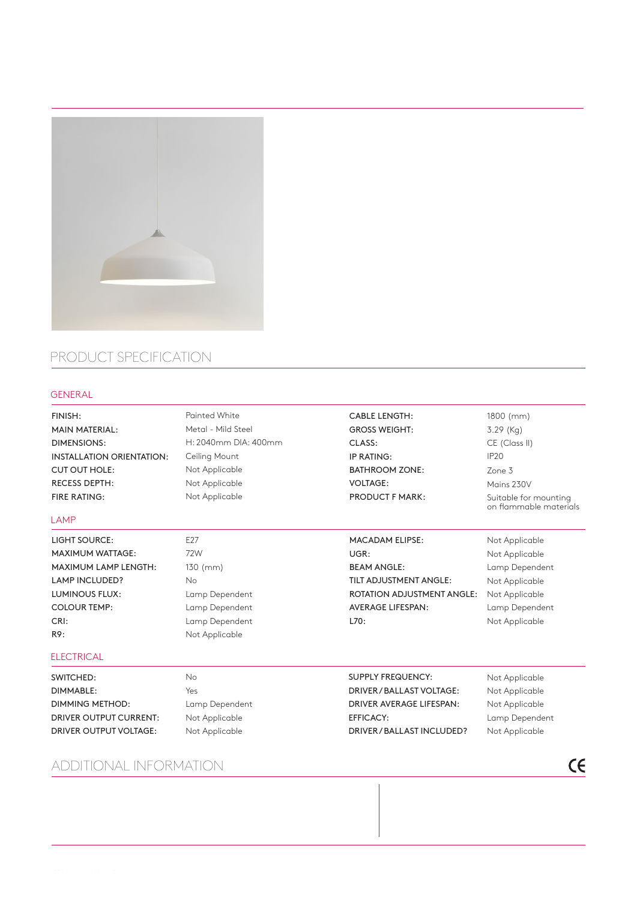

## PRODUCT SPECIFICATION

## GENERAL

| FINISH:<br><b>MAIN MATERIAL:</b><br><b>DIMENSIONS:</b><br><b>INSTALLATION ORIENTATION:</b><br><b>CUT OUT HOLE:</b><br><b>RECESS DEPTH:</b><br><b>FIRE RATING:</b><br>LAMP | <b>Painted White</b><br>Metal - Mild Steel<br>H: 2040mm DIA: 400mm<br>Ceiling Mount<br>Not Applicable<br>Not Applicable<br>Not Applicable | <b>CABLE LENGTH:</b><br><b>GROSS WEIGHT:</b><br>CLASS:<br>IP RATING:<br><b>BATHROOM ZONE:</b><br><b>VOLTAGE:</b><br><b>PRODUCT F MARK:</b> | 1800 (mm)<br>$3.29$ (Kg)<br>CE (Class II)<br>IP <sub>20</sub><br>Zone 3<br>Mains 230V<br>Suitable for mounting<br>on flammable materials |
|---------------------------------------------------------------------------------------------------------------------------------------------------------------------------|-------------------------------------------------------------------------------------------------------------------------------------------|--------------------------------------------------------------------------------------------------------------------------------------------|------------------------------------------------------------------------------------------------------------------------------------------|
|                                                                                                                                                                           |                                                                                                                                           |                                                                                                                                            |                                                                                                                                          |
| <b>LIGHT SOURCE:</b>                                                                                                                                                      | E <sub>27</sub>                                                                                                                           | <b>MACADAM ELIPSE:</b>                                                                                                                     | Not Applicable                                                                                                                           |
| <b>MAXIMUM WATTAGE:</b>                                                                                                                                                   | 72W                                                                                                                                       | UGR:                                                                                                                                       | Not Applicable                                                                                                                           |
| <b>MAXIMUM LAMP LENGTH:</b>                                                                                                                                               | $130$ (mm)                                                                                                                                | <b>BEAM ANGLE:</b>                                                                                                                         | Lamp Dependent                                                                                                                           |
| <b>LAMP INCLUDED?</b>                                                                                                                                                     | <b>No</b>                                                                                                                                 | TILT ADJUSTMENT ANGLE:                                                                                                                     | Not Applicable                                                                                                                           |
| <b>LUMINOUS FLUX:</b>                                                                                                                                                     | Lamp Dependent                                                                                                                            | <b>ROTATION ADJUSTMENT ANGLE:</b>                                                                                                          | Not Applicable                                                                                                                           |
| <b>COLOUR TEMP:</b>                                                                                                                                                       | Lamp Dependent                                                                                                                            | <b>AVERAGE LIFESPAN:</b>                                                                                                                   | Lamp Dependent                                                                                                                           |
| CRI:                                                                                                                                                                      | Lamp Dependent                                                                                                                            | L70:                                                                                                                                       | Not Applicable                                                                                                                           |
| R9:                                                                                                                                                                       | Not Applicable                                                                                                                            |                                                                                                                                            |                                                                                                                                          |
| <b>ELECTRICAL</b>                                                                                                                                                         |                                                                                                                                           |                                                                                                                                            |                                                                                                                                          |
| SWITCHED:                                                                                                                                                                 | <b>No</b>                                                                                                                                 | <b>SUPPLY FREQUENCY:</b>                                                                                                                   | Not Applicable                                                                                                                           |
| DIMMABLE:                                                                                                                                                                 | Yes                                                                                                                                       | DRIVER / BALLAST VOLTAGE:                                                                                                                  | Not Applicable                                                                                                                           |
| <b>DIMMING METHOD:</b>                                                                                                                                                    | Lamp Dependent                                                                                                                            | DRIVER AVERAGE LIFESPAN:                                                                                                                   | Not Applicable                                                                                                                           |
| <b>DRIVER OUTPUT CURRENT:</b>                                                                                                                                             | Not Applicable                                                                                                                            | <b>EFFICACY:</b>                                                                                                                           | Lamp Dependent                                                                                                                           |
| <b>DRIVER OUTPUT VOLTAGE:</b>                                                                                                                                             | Not Applicable                                                                                                                            | DRIVER/BALLAST INCLUDED?                                                                                                                   | Not Applicable                                                                                                                           |

## ADDITIONAL INFORMATION

 $C \in$